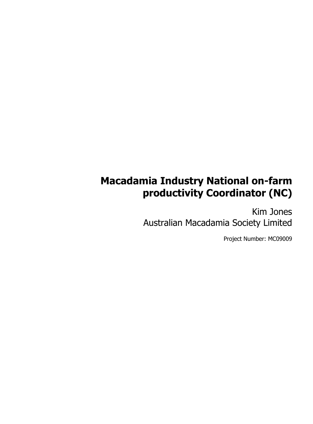# **Macadamia Industry National on-farm productivity Coordinator (NC)**

Kim Jones Australian Macadamia Society Limited

Project Number: MC09009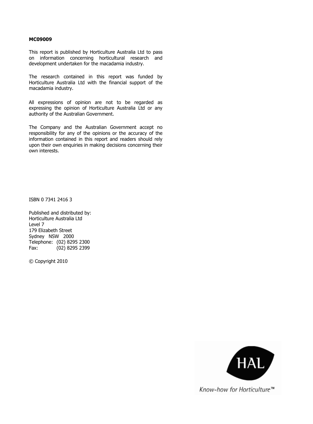#### **MC09009**

This report is published by Horticulture Australia Ltd to pass on information concerning horticultural research and development undertaken for the macadamia industry.

The research contained in this report was funded by Horticulture Australia Ltd with the financial support of the macadamia industry.

All expressions of opinion are not to be regarded as expressing the opinion of Horticulture Australia Ltd or any authority of the Australian Government.

The Company and the Australian Government accept no responsibility for any of the opinions or the accuracy of the information contained in this report and readers should rely upon their own enquiries in making decisions concerning their own interests.

ISBN 0 7341 2416 3

Published and distributed by: Horticulture Australia Ltd Level 7 179 Elizabeth Street Sydney NSW 2000 Telephone: (02) 8295 2300 Fax: (02) 8295 2399

© Copyright 2010



Know-how for Horticulture™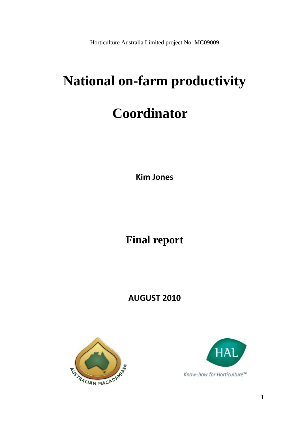Horticulture Australia Limited project No: MC09009

# **National on-farm productivity**

# **Coordinator**

**Kim Jones**

**Final report** 

**AUGUST 2010**





1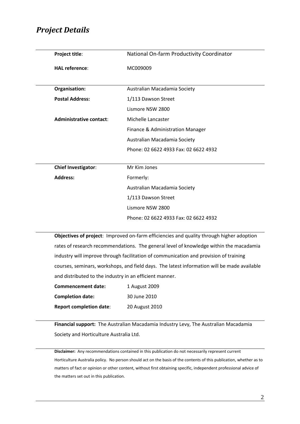#### *Project Details*

| Project title:             | National On-farm Productivity Coordinator |
|----------------------------|-------------------------------------------|
| <b>HAL reference:</b>      | MC009009                                  |
|                            |                                           |
| Organisation:              | Australian Macadamia Society              |
| <b>Postal Address:</b>     | 1/113 Dawson Street                       |
|                            | Lismore NSW 2800                          |
| Administrative contact:    | Michelle Lancaster                        |
|                            | Finance & Administration Manager          |
|                            | Australian Macadamia Society              |
|                            | Phone: 02 6622 4933 Fax: 02 6622 4932     |
|                            |                                           |
| <b>Chief Investigator:</b> | Mr Kim Jones                              |
| <b>Address:</b>            | Formerly:                                 |
|                            | Australian Macadamia Society              |
|                            | 1/113 Dawson Street                       |
|                            | Lismore NSW 2800                          |
|                            | Phone: 02 6622 4933 Fax: 02 6622 4932     |
|                            |                                           |

**Objectives of project**: Improved on‐farm efficiencies and quality through higher adoption rates of research recommendations. The general level of knowledge within the macadamia industry will improve through facilitation of communication and provision of training courses, seminars, workshops, and field days. The latest information will be made available and distributed to the industry in an efficient manner.

| <b>Commencement date:</b>      | 1 August 2009  |
|--------------------------------|----------------|
| <b>Completion date:</b>        | 30 June 2010   |
| <b>Report completion date:</b> | 20 August 2010 |

**Financial support:** The Australian Macadamia Industry Levy, The Australian Macadamia Society and Horticulture Australia Ltd.

**Disclaimer:** Any recommendations contained in this publication do not necessarily represent current Horticulture Australia policy. No person should act on the basis of the contents of this publication, whether as to matters of fact or opinion or other content, without first obtaining specific, independent professional advice of the matters set out in this publication.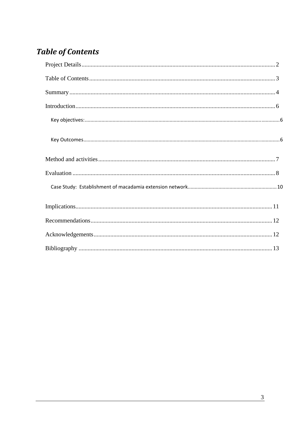# **Table of Contents**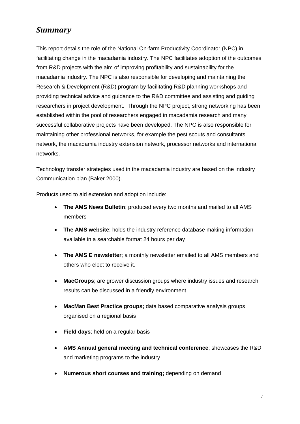# *Summary*

This report details the role of the National On-farm Productivity Coordinator (NPC) in facilitating change in the macadamia industry. The NPC facilitates adoption of the outcomes from R&D projects with the aim of improving profitability and sustainability for the macadamia industry. The NPC is also responsible for developing and maintaining the Research & Development (R&D) program by facilitating R&D planning workshops and providing technical advice and guidance to the R&D committee and assisting and guiding researchers in project development. Through the NPC project, strong networking has been established within the pool of researchers engaged in macadamia research and many successful collaborative projects have been developed. The NPC is also responsible for maintaining other professional networks, for example the pest scouts and consultants network, the macadamia industry extension network, processor networks and international networks.

Technology transfer strategies used in the macadamia industry are based on the industry Communication plan (Baker 2000).

Products used to aid extension and adoption include:

- **The AMS News Bulletin**; produced every two months and mailed to all AMS members
- **The AMS website**; holds the industry reference database making information available in a searchable format 24 hours per day
- **The AMS E newsletter**; a monthly newsletter emailed to all AMS members and others who elect to receive it.
- **MacGroups**; are grower discussion groups where industry issues and research results can be discussed in a friendly environment
- **MacMan Best Practice groups;** data based comparative analysis groups organised on a regional basis
- **Field days**; held on a regular basis
- **AMS Annual general meeting and technical conference**; showcases the R&D and marketing programs to the industry
- **Numerous short courses and training;** depending on demand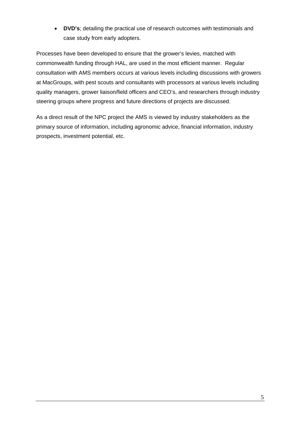• **DVD's**; detailing the practical use of research outcomes with testimonials and case study from early adopters.

Processes have been developed to ensure that the grower's levies, matched with commonwealth funding through HAL, are used in the most efficient manner. Regular consultation with AMS members occurs at various levels including discussions with growers at MacGroups, with pest scouts and consultants with processors at various levels including quality managers, grower liaison/field officers and CEO's, and researchers through industry steering groups where progress and future directions of projects are discussed.

As a direct result of the NPC project the AMS is viewed by industry stakeholders as the primary source of information, including agronomic advice, financial information, industry prospects, investment potential, etc.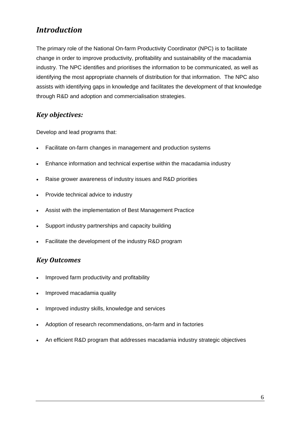# *Introduction*

The primary role of the National On-farm Productivity Coordinator (NPC) is to facilitate change in order to improve productivity, profitability and sustainability of the macadamia industry. The NPC identifies and prioritises the information to be communicated, as well as identifying the most appropriate channels of distribution for that information. The NPC also assists with identifying gaps in knowledge and facilitates the development of that knowledge through R&D and adoption and commercialisation strategies.

#### *Key objectives:*

Develop and lead programs that:

- Facilitate on-farm changes in management and production systems
- Enhance information and technical expertise within the macadamia industry
- Raise grower awareness of industry issues and R&D priorities
- Provide technical advice to industry
- Assist with the implementation of Best Management Practice
- Support industry partnerships and capacity building
- Facilitate the development of the industry R&D program

#### *Key Outcomes*

- Improved farm productivity and profitability
- Improved macadamia quality
- Improved industry skills, knowledge and services
- Adoption of research recommendations, on-farm and in factories
- An efficient R&D program that addresses macadamia industry strategic objectives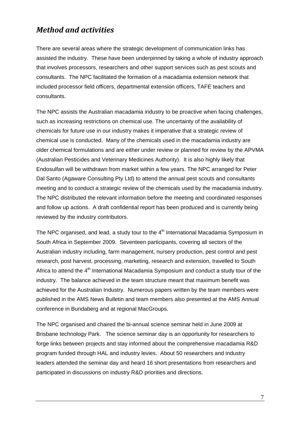## *Method and activities*

There are several areas where the strategic development of communication links has assisted the industry. These have been underpinned by taking a whole of industry approach that involves processors, researchers and other support services such as pest scouts and consultants. The NPC facilitated the formation of a macadamia extension network that included processor field officers, departmental extension officers, TAFE teachers and consultants.

The NPC assists the Australian macadamia industry to be proactive when facing challenges, such as increasing restrictions on chemical use. The uncertainty of the availability of chemicals for future use in our industry makes it imperative that a strategic review of chemical use is conducted. Many of the chemicals used in the macadamia industry are older chemical formulations and are either under review or planned for review by the APVMA (Australian Pesticides and Veterinary Medicines Authority). It is also highly likely that Endosulfan will be withdrawn from market within a few years. The NPC arranged for Peter Dal Santo (Agaware Consulting Pty Ltd) to attend the annual pest scouts and consultants meeting and to conduct a strategic review of the chemicals used by the macadamia industry. The NPC distributed the relevant information before the meeting and coordinated responses and follow up actions. A draft confidential report has been produced and is currently being reviewed by the industry contributors.

The NPC organised, and lead, a study tour to the 4<sup>th</sup> International Macadamia Symposium in South Africa in September 2009. Seventeen participants, covering all sectors of the Australian industry including, farm management, nursery production, pest control and pest research, post harvest, processing, marketing, research and extension, travelled to South Africa to attend the 4<sup>th</sup> International Macadamia Symposium and conduct a study tour of the industry. The balance achieved in the team structure meant that maximum benefit was achieved for the Australian Industry. Numerous papers written by the team members were published in the AMS News Bulletin and team members also presented at the AMS Annual conference in Bundaberg and at regional MacGroups.

The NPC organised and chaired the bi-annual science seminar held in June 2009 at Brisbane technology Park. The science seminar day is an opportunity for researchers to forge links between projects and stay informed about the comprehensive macadamia R&D program funded through HAL and industry levies. About 50 researchers and industry leaders attended the seminar day and heard 16 short presentations from researchers and participated in discussions on industry R&D priorities and directions.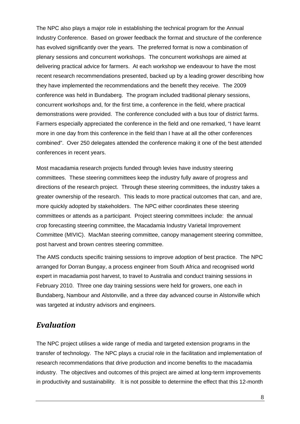The NPC also plays a major role in establishing the technical program for the Annual Industry Conference. Based on grower feedback the format and structure of the conference has evolved significantly over the years. The preferred format is now a combination of plenary sessions and concurrent workshops. The concurrent workshops are aimed at delivering practical advice for farmers. At each workshop we endeavour to have the most recent research recommendations presented, backed up by a leading grower describing how they have implemented the recommendations and the benefit they receive. The 2009 conference was held in Bundaberg. The program included traditional plenary sessions, concurrent workshops and, for the first time, a conference in the field, where practical demonstrations were provided. The conference concluded with a bus tour of district farms. Farmers especially appreciated the conference in the field and one remarked, "I have learnt more in one day from this conference in the field than I have at all the other conferences combined". Over 250 delegates attended the conference making it one of the best attended conferences in recent years.

Most macadamia research projects funded through levies have industry steering committees. These steering committees keep the industry fully aware of progress and directions of the research project. Through these steering committees, the industry takes a greater ownership of the research. This leads to more practical outcomes that can, and are, more quickly adopted by stakeholders. The NPC either coordinates these steering committees or attends as a participant. Project steering committees include: the annual crop forecasting steering committee, the Macadamia Industry Varietal Improvement Committee (MIVIC). MacMan steering committee, canopy management steering committee, post harvest and brown centres steering committee.

The AMS conducts specific training sessions to improve adoption of best practice. The NPC arranged for Dorran Bungay, a process engineer from South Africa and recognised world expert in macadamia post harvest, to travel to Australia and conduct training sessions in February 2010. Three one day training sessions were held for growers, one each in Bundaberg, Nambour and Alstonville, and a three day advanced course in Alstonville which was targeted at industry advisors and engineers.

#### *Evaluation*

The NPC project utilises a wide range of media and targeted extension programs in the transfer of technology. The NPC plays a crucial role in the facilitation and implementation of research recommendations that drive production and income benefits to the macadamia industry. The objectives and outcomes of this project are aimed at long-term improvements in productivity and sustainability. It is not possible to determine the effect that this 12-month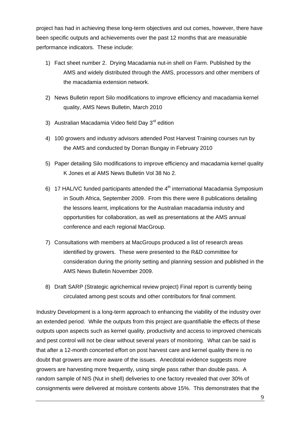project has had in achieving these long-term objectives and out comes, however, there have been specific outputs and achievements over the past 12 months that are measurable performance indicators. These include:

- 1) Fact sheet number 2. Drying Macadamia nut-in shell on Farm. Published by the AMS and widely distributed through the AMS, processors and other members of the macadamia extension network.
- 2) News Bulletin report Silo modifications to improve efficiency and macadamia kernel quality, AMS News Bulletin, March 2010
- 3) Australian Macadamia Video field Day 3<sup>rd</sup> edition
- 4) 100 growers and industry advisors attended Post Harvest Training courses run by the AMS and conducted by Dorran Bungay in February 2010
- 5) Paper detailing Silo modifications to improve efficiency and macadamia kernel quality K Jones et al AMS News Bulletin Vol 38 No 2.
- 6) 17 HAL/VC funded participants attended the  $4<sup>th</sup>$  international Macadamia Symposium in South Africa, September 2009. From this there were 8 publications detailing the lessons learnt, implications for the Australian macadamia industry and opportunities for collaboration, as well as presentations at the AMS annual conference and each regional MacGroup.
- 7) Consultations with members at MacGroups produced a list of research areas identified by growers. These were presented to the R&D committee for consideration during the priority setting and planning session and published in the AMS News Bulletin November 2009.
- 8) Draft SARP (Strategic agrichemical review project) Final report is currently being circulated among pest scouts and other contributors for final comment.

Industry Development is a long-term approach to enhancing the viability of the industry over an extended period. While the outputs from this project are quantifiable the effects of these outputs upon aspects such as kernel quality, productivity and access to improved chemicals and pest control will not be clear without several years of monitoring. What can be said is that after a 12-month concerted effort on post harvest care and kernel quality there is no doubt that growers are more aware of the issues. Anecdotal evidence suggests more growers are harvesting more frequently, using single pass rather than double pass. A random sample of NIS (Nut in shell) deliveries to one factory revealed that over 30% of consignments were delivered at moisture contents above 15%. This demonstrates that the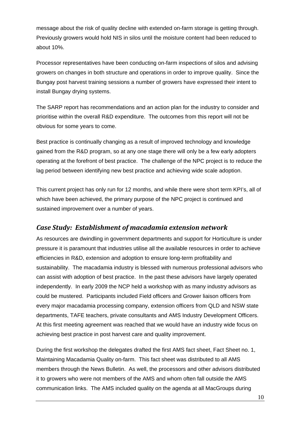message about the risk of quality decline with extended on-farm storage is getting through. Previously growers would hold NIS in silos until the moisture content had been reduced to about 10%.

Processor representatives have been conducting on-farm inspections of silos and advising growers on changes in both structure and operations in order to improve quality. Since the Bungay post harvest training sessions a number of growers have expressed their intent to install Bungay drying systems.

The SARP report has recommendations and an action plan for the industry to consider and prioritise within the overall R&D expenditure. The outcomes from this report will not be obvious for some years to come.

Best practice is continually changing as a result of improved technology and knowledge gained from the R&D program, so at any one stage there will only be a few early adopters operating at the forefront of best practice. The challenge of the NPC project is to reduce the lag period between identifying new best practice and achieving wide scale adoption.

This current project has only run for 12 months, and while there were short term KPI's, all of which have been achieved, the primary purpose of the NPC project is continued and sustained improvement over a number of years.

#### *Case Study: Establishment of macadamia extension network*

As resources are dwindling in government departments and support for Horticulture is under pressure it is paramount that industries utilise all the available resources in order to achieve efficiencies in R&D, extension and adoption to ensure long-term profitability and sustainability. The macadamia industry is blessed with numerous professional advisors who can assist with adoption of best practice. In the past these advisors have largely operated independently. In early 2009 the NCP held a workshop with as many industry advisors as could be mustered. Participants included Field officers and Grower liaison officers from every major macadamia processing company, extension officers from QLD and NSW state departments, TAFE teachers, private consultants and AMS Industry Development Officers. At this first meeting agreement was reached that we would have an industry wide focus on achieving best practice in post harvest care and quality improvement.

During the first workshop the delegates drafted the first AMS fact sheet, Fact Sheet no. 1, Maintaining Macadamia Quality on-farm. This fact sheet was distributed to all AMS members through the News Bulletin. As well, the processors and other advisors distributed it to growers who were not members of the AMS and whom often fall outside the AMS communication links. The AMS included quality on the agenda at all MacGroups during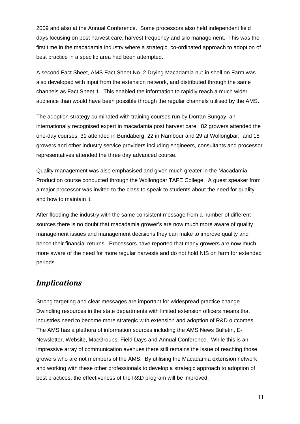2009 and also at the Annual Conference. Some processors also held independent field days focusing on post harvest care, harvest frequency and silo management. This was the first time in the macadamia industry where a strategic, co-ordinated approach to adoption of best practice in a specific area had been attempted.

A second Fact Sheet, AMS Fact Sheet No. 2 Drying Macadamia nut-in shell on Farm was also developed with input from the extension network, and distributed through the same channels as Fact Sheet 1. This enabled the information to rapidly reach a much wider audience than would have been possible through the regular channels utilised by the AMS.

The adoption strategy culminated with training courses run by Dorran Bungay, an internationally recognised expert in macadamia post harvest care. 82 growers attended the one-day courses, 31 attended in Bundaberg, 22 in Nambour and 29 at Wollongbar, and 18 growers and other industry service providers including engineers, consultants and processor representatives attended the three day advanced course.

Quality management was also emphasised and given much greater in the Macadamia Production course conducted through the Wollongbar TAFE College. A guest speaker from a major processor was invited to the class to speak to students about the need for quality and how to maintain it.

After flooding the industry with the same consistent message from a number of different sources there is no doubt that macadamia grower's are now much more aware of quality management issues and management decisions they can make to improve quality and hence their financial returns. Processors have reported that many growers are now much more aware of the need for more regular harvests and do not hold NIS on farm for extended periods.

### *Implications*

Strong targeting and clear messages are important for widespread practice change. Dwindling resources in the state departments with limited extension officers means that industries need to become more strategic with extension and adoption of R&D outcomes. The AMS has a plethora of information sources including the AMS News Bulletin, E-Newsletter, Website, MacGroups, Field Days and Annual Conference. While this is an impressive array of communication avenues there still remains the issue of reaching those growers who are not members of the AMS. By utilising the Macadamia extension network and working with these other professionals to develop a strategic approach to adoption of best practices, the effectiveness of the R&D program will be improved.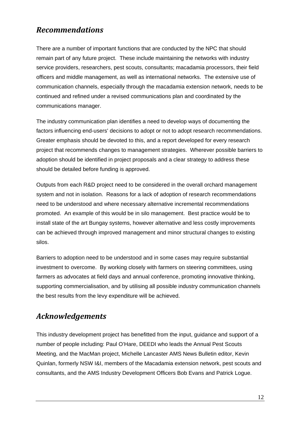# *Recommendations*

There are a number of important functions that are conducted by the NPC that should remain part of any future project. These include maintaining the networks with industry service providers, researchers, pest scouts, consultants; macadamia processors, their field officers and middle management, as well as international networks. The extensive use of communication channels, especially through the macadamia extension network, needs to be continued and refined under a revised communications plan and coordinated by the communications manager.

The industry communication plan identifies a need to develop ways of documenting the factors influencing end-users' decisions to adopt or not to adopt research recommendations. Greater emphasis should be devoted to this, and a report developed for every research project that recommends changes to management strategies. Wherever possible barriers to adoption should be identified in project proposals and a clear strategy to address these should be detailed before funding is approved.

Outputs from each R&D project need to be considered in the overall orchard management system and not in isolation. Reasons for a lack of adoption of research recommendations need to be understood and where necessary alternative incremental recommendations promoted. An example of this would be in silo management. Best practice would be to install state of the art Bungay systems, however alternative and less costly improvements can be achieved through improved management and minor structural changes to existing silos.

Barriers to adoption need to be understood and in some cases may require substantial investment to overcome. By working closely with farmers on steering committees, using farmers as advocates at field days and annual conference, promoting innovative thinking, supporting commercialisation, and by utilising all possible industry communication channels the best results from the levy expenditure will be achieved.

# *Acknowledgements*

This industry development project has benefitted from the input, guidance and support of a number of people including: Paul O'Hare, DEEDI who leads the Annual Pest Scouts Meeting, and the MacMan project, Michelle Lancaster AMS News Bulletin editor, Kevin Quinlan, formerly NSW I&I, members of the Macadamia extension network, pest scouts and consultants, and the AMS Industry Development Officers Bob Evans and Patrick Logue.